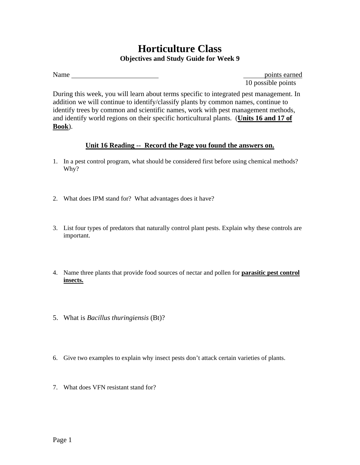## **Horticulture Class Objectives and Study Guide for Week 9**

10 possible points

During this week, you will learn about terms specific to integrated pest management. In addition we will continue to identify/classify plants by common names, continue to identify trees by common and scientific names, work with pest management methods, and identify world regions on their specific horticultural plants. (**Units 16 and 17 of Book**).

## **Unit 16 Reading -- Record the Page you found the answers on.**

- 1. In a pest control program, what should be considered first before using chemical methods? Why?
- 2. What does IPM stand for? What advantages does it have?
- 3. List four types of predators that naturally control plant pests. Explain why these controls are important.
- 4. Name three plants that provide food sources of nectar and pollen for **parasitic pest control insects.**
- 5. What is *Bacillus thuringiensis* (Bt)?
- 6. Give two examples to explain why insect pests don't attack certain varieties of plants.
- 7. What does VFN resistant stand for?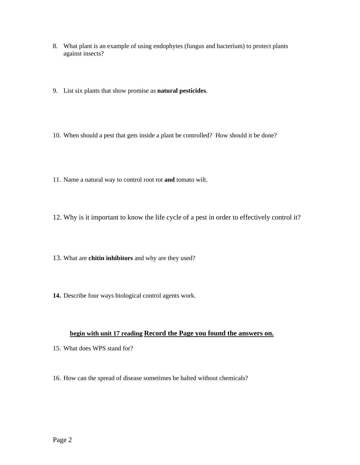- 8. What plant is an example of using endophytes (fungus and bacterium) to protect plants against insects?
- 9. List six plants that show promise as **natural pesticides**.
- 10. When should a pest that gets inside a plant be controlled? How should it be done?
- 11. Name a natural way to control root rot **and** tomato wilt.
- 12. Why is it important to know the life cycle of a pest in order to effectively control it?
- 13. What are **chitin inhibitors** and why are they used?
- **14.** Describe four ways biological control agents work.

## **begin with unit 17 reading Record the Page you found the answers on.**

- 15. What does WPS stand for?
- 16. How can the spread of disease sometimes be halted without chemicals?